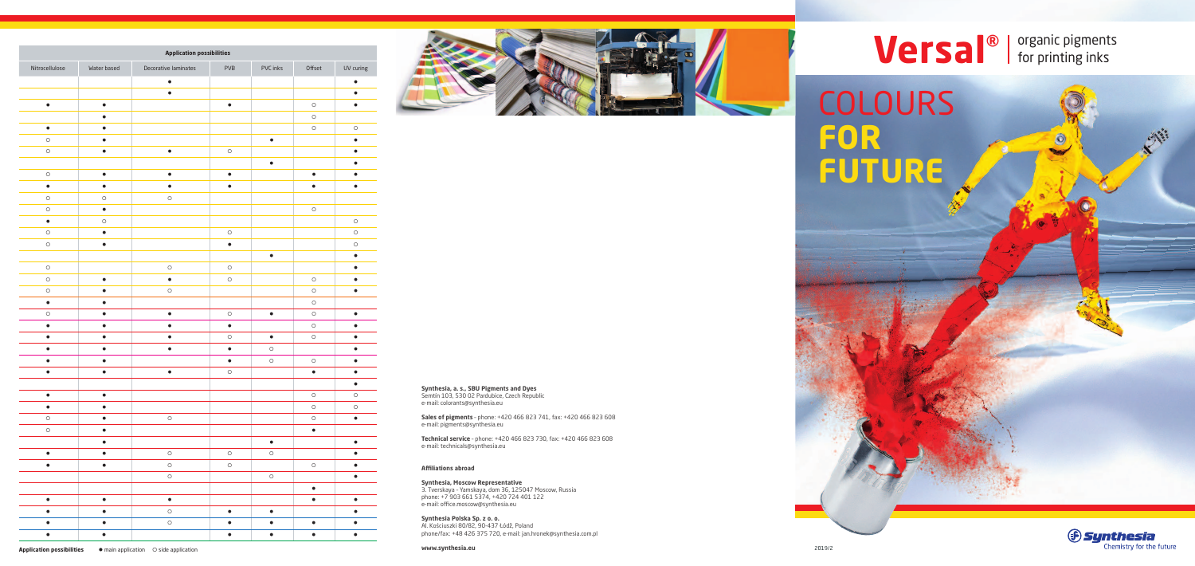# colours **for future**





| <b>Application possibilities</b> |             |                      |            |           |            |            |  |
|----------------------------------|-------------|----------------------|------------|-----------|------------|------------|--|
| Nitrocellulose                   | Water based | Decorative laminates | <b>PVB</b> | PVC inks  | Offset     | UV curing  |  |
|                                  |             | $\bullet$            |            |           |            | $\bullet$  |  |
|                                  |             | $\bullet$            |            |           |            | $\bullet$  |  |
| $\bullet$                        | $\bullet$   |                      | $\bullet$  |           | $\circ$    | $\bullet$  |  |
|                                  | $\bullet$   |                      |            |           | $\circ$    |            |  |
| $\bullet$                        | $\bullet$   |                      |            |           | $\circ$    | $\circ$    |  |
| $\circ$                          | $\bullet$   |                      |            | $\bullet$ |            | $\bullet$  |  |
| $\circ$                          | $\bullet$   | $\bullet$            | $\circ$    |           |            |            |  |
|                                  |             |                      |            | $\bullet$ |            |            |  |
| $\bigcirc$                       | $\bullet$   | $\bullet$            | $\bullet$  |           | $\bullet$  |            |  |
| $\bullet$                        | $\bullet$   | $\bullet$            | $\bullet$  |           | $\bullet$  | $\bullet$  |  |
| $\circ$                          | $\circ$     | $\bigcirc$           |            |           |            |            |  |
| $\circ$                          | $\bullet$   |                      |            |           | $\circ$    |            |  |
| $\bullet$                        | $\circ$     |                      |            |           |            | $\bigcirc$ |  |
| $\circ$                          | $\bullet$   |                      | $\circ$    |           |            | $\bigcirc$ |  |
| $\circ$                          | $\bullet$   |                      | $\bullet$  |           |            | $\circ$    |  |
|                                  |             |                      |            | $\bullet$ |            | $\bullet$  |  |
| $\circ$                          |             | $\circ$              | $\circ$    |           |            | $\bullet$  |  |
| $\circ$                          | $\bullet$   | $\bullet$            | $\circ$    |           | $\circ$    | ●          |  |
| $\circ$                          | $\bullet$   | $\circ$              |            |           | $\bigcirc$ | $\bullet$  |  |
| $\bullet$                        | $\bullet$   |                      |            |           | $\bigcirc$ |            |  |
| $\circ$                          | $\bullet$   | $\bullet$            | $\circ$    | $\bullet$ | $\circ$    | $\bullet$  |  |
| $\bullet$                        | $\bullet$   | $\bullet$            | $\bullet$  |           | $\bigcirc$ | $\bullet$  |  |
| $\bullet$                        | $\bullet$   | $\bullet$            | $\circ$    | $\bullet$ | $\circ$    | $\bullet$  |  |
| $\bullet$                        | $\bullet$   | $\bullet$            | $\bullet$  | $\circ$   |            | $\bullet$  |  |
| $\bullet$                        | $\bullet$   |                      | $\bullet$  | $\circ$   | $\circ$    | $\bullet$  |  |
| $\bullet$                        | $\bullet$   | $\bullet$            | $\circ$    |           | $\bullet$  | $\bullet$  |  |
|                                  |             |                      |            |           |            | $\bullet$  |  |
| $\bullet$                        | $\bullet$   |                      |            |           | $\circ$    | $\bigcirc$ |  |
| $\bullet$                        | $\bullet$   |                      |            |           | $\circ$    | $\circ$    |  |
| $\circ$                          | $\bullet$   | $\circ$              |            |           | $\circ$    | $\bullet$  |  |
| $\bigcirc$                       | $\bullet$   |                      |            |           | $\bullet$  |            |  |
|                                  | $\bullet$   |                      |            | $\bullet$ |            | $\bullet$  |  |
| $\bullet$                        | $\bullet$   | $\circ$              | $\circ$    | $\circ$   |            | $\bullet$  |  |
| $\bullet$                        | $\bullet$   | $\circ$              | $\circ$    |           | $\circ$    | $\bullet$  |  |
|                                  |             | $\circ$              |            | $\circ$   |            | $\bullet$  |  |
|                                  |             |                      |            |           | $\bullet$  |            |  |
| $\bullet$                        | $\bullet$   | $\bullet$            |            |           | $\bullet$  | $\bullet$  |  |
| $\bullet$                        | $\bullet$   | $\circ$              | $\bullet$  | $\bullet$ |            | $\bullet$  |  |
| $\bullet$                        | $\bullet$   | $\circ$              | $\bullet$  | $\bullet$ | $\bullet$  | $\bullet$  |  |
| $\bullet$                        | $\bullet$   |                      | $\bullet$  | $\bullet$ | $\bullet$  | $\bullet$  |  |

 $\odot$ 

**Synthesia, a. s., SBU Pigments and Dyes** Semtín 103, 530 02 Pardubice, Czech Republic e-mail: colorants@synthesia.eu

**Sales of pigments** – phone: +420 466 823 741, fax: +420 466 823 608 e-mail: pigments@synthesia.eu

**Technical service** – phone: +420 466 823 730, fax: +420 466 823 608 e-mail: technicals@synthesia.eu

#### **Affiliations abroad**

#### **Synthesia, Moscow Representative**

3. Tverskaya – Yamskaya, dom 36, 125047 Moscow, Russia phone: +7 903 661 5374, +420 724 401 122 e-mail: office.moscow@synthesia.eu

### **Synthesia Polska Sp. z o. o.**

Al. Kościuszki 80/82, 90-437 Łódž, Poland phone/fax: +48 426 375 720, e-mail: jan.hronek@synthesia.com.pl

**www.synthesia.eu**